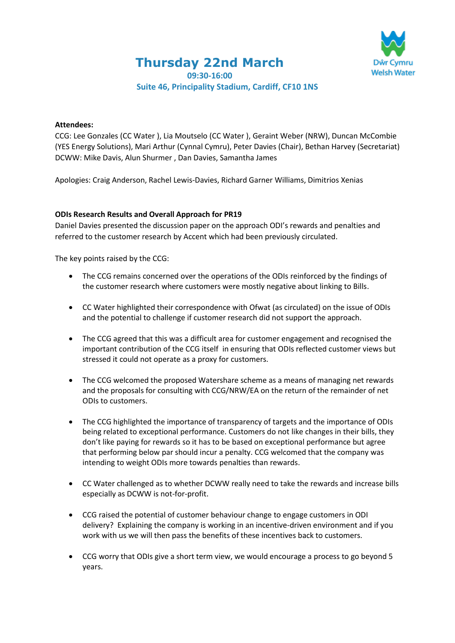**Thursday 22nd March**



**09:30-16:00**

# **Suite 46, Principality Stadium, Cardiff, CF10 1NS**

### **Attendees:**

CCG: Lee Gonzales (CC Water ), Lia Moutselo (CC Water ), Geraint Weber (NRW), Duncan McCombie (YES Energy Solutions), Mari Arthur (Cynnal Cymru), Peter Davies (Chair), Bethan Harvey (Secretariat) DCWW: Mike Davis, Alun Shurmer , Dan Davies, Samantha James

Apologies: Craig Anderson, Rachel Lewis-Davies, Richard Garner Williams, Dimitrios Xenias

### **ODIs Research Results and Overall Approach for PR19**

Daniel Davies presented the discussion paper on the approach ODI's rewards and penalties and referred to the customer research by Accent which had been previously circulated.

The key points raised by the CCG:

- The CCG remains concerned over the operations of the ODIs reinforced by the findings of the customer research where customers were mostly negative about linking to Bills.
- CC Water highlighted their correspondence with Ofwat (as circulated) on the issue of ODIs and the potential to challenge if customer research did not support the approach.
- The CCG agreed that this was a difficult area for customer engagement and recognised the important contribution of the CCG itself in ensuring that ODIs reflected customer views but stressed it could not operate as a proxy for customers.
- The CCG welcomed the proposed Watershare scheme as a means of managing net rewards and the proposals for consulting with CCG/NRW/EA on the return of the remainder of net ODIs to customers.
- The CCG highlighted the importance of transparency of targets and the importance of ODIs being related to exceptional performance. Customers do not like changes in their bills, they don't like paying for rewards so it has to be based on exceptional performance but agree that performing below par should incur a penalty. CCG welcomed that the company was intending to weight ODIs more towards penalties than rewards.
- CC Water challenged as to whether DCWW really need to take the rewards and increase bills especially as DCWW is not-for-profit.
- CCG raised the potential of customer behaviour change to engage customers in ODI delivery? Explaining the company is working in an incentive-driven environment and if you work with us we will then pass the benefits of these incentives back to customers.
- CCG worry that ODIs give a short term view, we would encourage a process to go beyond 5 years.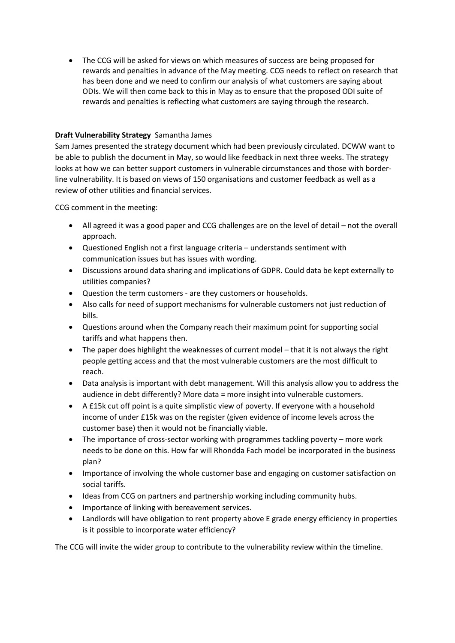The CCG will be asked for views on which measures of success are being proposed for rewards and penalties in advance of the May meeting. CCG needs to reflect on research that has been done and we need to confirm our analysis of what customers are saying about ODIs. We will then come back to this in May as to ensure that the proposed ODI suite of rewards and penalties is reflecting what customers are saying through the research.

# **Draft Vulnerability Strategy** Samantha James

Sam James presented the strategy document which had been previously circulated. DCWW want to be able to publish the document in May, so would like feedback in next three weeks. The strategy looks at how we can better support customers in vulnerable circumstances and those with borderline vulnerability. It is based on views of 150 organisations and customer feedback as well as a review of other utilities and financial services.

CCG comment in the meeting:

- All agreed it was a good paper and CCG challenges are on the level of detail not the overall approach.
- Questioned English not a first language criteria understands sentiment with communication issues but has issues with wording.
- Discussions around data sharing and implications of GDPR. Could data be kept externally to utilities companies?
- Question the term customers are they customers or households.
- Also calls for need of support mechanisms for vulnerable customers not just reduction of bills.
- Questions around when the Company reach their maximum point for supporting social tariffs and what happens then.
- The paper does highlight the weaknesses of current model that it is not always the right people getting access and that the most vulnerable customers are the most difficult to reach.
- Data analysis is important with debt management. Will this analysis allow you to address the audience in debt differently? More data = more insight into vulnerable customers.
- A £15k cut off point is a quite simplistic view of poverty. If everyone with a household income of under £15k was on the register (given evidence of income levels across the customer base) then it would not be financially viable.
- The importance of cross-sector working with programmes tackling poverty more work needs to be done on this. How far will Rhondda Fach model be incorporated in the business plan?
- Importance of involving the whole customer base and engaging on customer satisfaction on social tariffs.
- Ideas from CCG on partners and partnership working including community hubs.
- Importance of linking with bereavement services.
- Landlords will have obligation to rent property above E grade energy efficiency in properties is it possible to incorporate water efficiency?

The CCG will invite the wider group to contribute to the vulnerability review within the timeline.